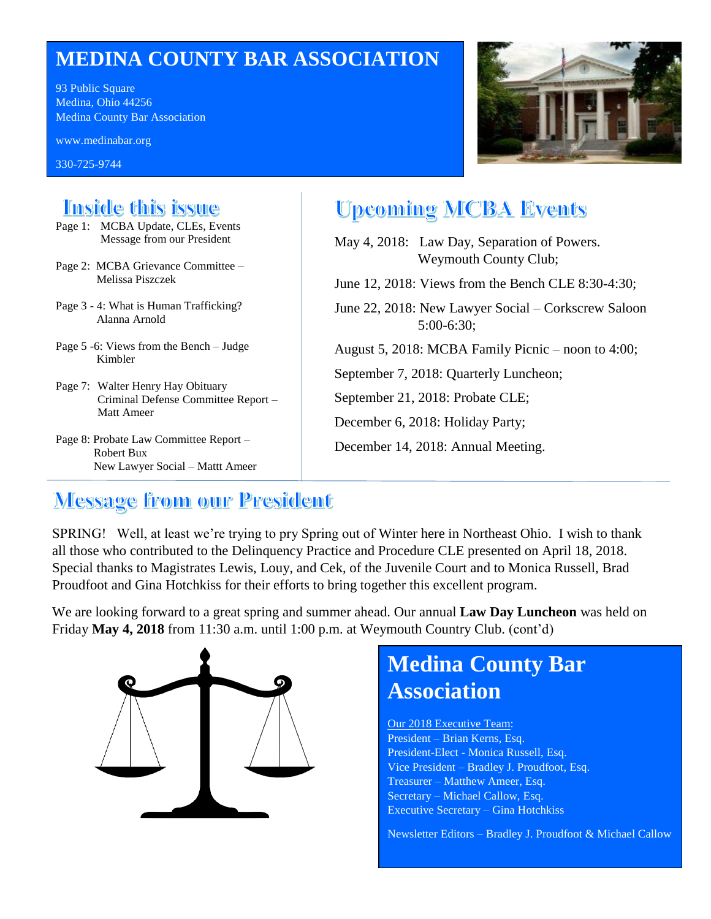# **MEDINA COUNTY BAR ASSOCIATION**

93 Public Square Medina, Ohio 44256 Medina County Bar Association

www.medinabar.org

330-725-9744



## **Tnside this issue**

- Page 1: MCBA Update, CLEs, Events Message from our President
- Page 2: MCBA Grievance Committee Melissa Piszczek
- Page 3 4: What is Human Trafficking? Alanna Arnold
- Page 5 -6: Views from the Bench Judge Kimbler
- Page 7: Walter Henry Hay Obituary Criminal Defense Committee Report – Matt Ameer
- Page 8: Probate Law Committee Report Robert Bux New Lawyer Social – Mattt Ameer

# **Upcoming MCBA Events**

- May 4, 2018: Law Day, Separation of Powers. Weymouth County Club; June 12, 2018: Views from the Bench CLE 8:30-4:30;
- June 22, 2018: New Lawyer Social Corkscrew Saloon 5:00-6:30;
- August 5, 2018: MCBA Family Picnic noon to 4:00;
- September 7, 2018: Quarterly Luncheon;
- September 21, 2018: Probate CLE;
- December 6, 2018: Holiday Party;
- December 14, 2018: Annual Meeting.

# **Message from our President**

SPRING! Well, at least we're trying to pry Spring out of Winter here in Northeast Ohio. I wish to thank all those who contributed to the Delinquency Practice and Procedure CLE presented on April 18, 2018. Special thanks to Magistrates Lewis, Louy, and Cek, of the Juvenile Court and to Monica Russell, Brad Proudfoot and Gina Hotchkiss for their efforts to bring together this excellent program.

We are looking forward to a great spring and summer ahead. Our annual **Law Day Luncheon** was held on Friday **May 4, 2018** from 11:30 a.m. until 1:00 p.m. at Weymouth Country Club. (cont'd)



# **Medina County Bar Association**

Our 2018 Executive Team: President – Brian Kerns, Esq. President-Elect - Monica Russell, Esq. Vice President – Bradley J. Proudfoot, Esq. Treasurer – Matthew Ameer, Esq. Secretary – Michael Callow, Esq. Executive Secretary – Gina Hotchkiss

Newsletter Editors – Bradley J. Proudfoot & Michael Callow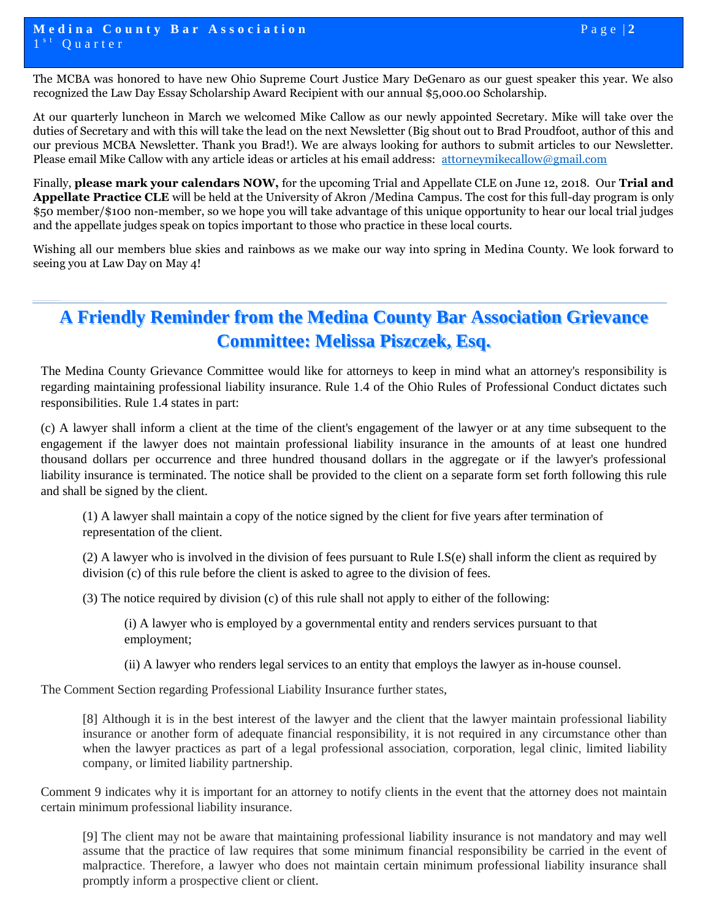The MCBA was honored to have new Ohio Supreme Court Justice Mary DeGenaro as our guest speaker this year. We also recognized the Law Day Essay Scholarship Award Recipient with our annual \$5,000.00 Scholarship.

At our quarterly luncheon in March we welcomed Mike Callow as our newly appointed Secretary. Mike will take over the duties of Secretary and with this will take the lead on the next Newsletter (Big shout out to Brad Proudfoot, author of this and our previous MCBA Newsletter. Thank you Brad!). We are always looking for authors to submit articles to our Newsletter. Please email Mike Callow with any article ideas or articles at his email address: [attorneymikecallow@gmail.com](mailto:attorneymikecallow@gmail.com)

Finally, **please mark your calendars NOW,** for the upcoming Trial and Appellate CLE on June 12, 2018. Our **Trial and Appellate Practice CLE** will be held at the University of Akron /Medina Campus. The cost for this full-day program is only \$50 member/\$100 non-member, so we hope you will take advantage of this unique opportunity to hear our local trial judges and the appellate judges speak on topics important to those who practice in these local courts.

Wishing all our members blue skies and rainbows as we make our way into spring in Medina County. We look forward to seeing you at Law Day on May 4!

## **A Friendly Reminder from the Medina County Bar Association Grievance Committee: Melissa Piszczek, Esq.**

The Medina County Grievance Committee would like for attorneys to keep in mind what an attorney's responsibility is regarding maintaining professional liability insurance. Rule 1.4 of the Ohio Rules of Professional Conduct dictates such responsibilities. Rule 1.4 states in part:

(c) A lawyer shall inform a client at the time of the client's engagement of the lawyer or at any time subsequent to the engagement if the lawyer does not maintain professional liability insurance in the amounts of at least one hundred thousand dollars per occurrence and three hundred thousand dollars in the aggregate or if the lawyer's professional liability insurance is terminated. The notice shall be provided to the client on a separate form set forth following this rule and shall be signed by the client.

(1) A lawyer shall maintain a copy of the notice signed by the client for five years after termination of representation of the client.

(2) A lawyer who is involved in the division of fees pursuant to Rule I.S(e) shall inform the client as required by division (c) of this rule before the client is asked to agree to the division of fees.

(3) The notice required by division (c) of this rule shall not apply to either of the following:

(i) A lawyer who is employed by a governmental entity and renders services pursuant to that employment;

(ii) A lawyer who renders legal services to an entity that employs the lawyer as in-house counsel.

The Comment Section regarding Professional Liability Insurance further states,

[8] Although it is in the best interest of the lawyer and the client that the lawyer maintain professional liability insurance or another form of adequate financial responsibility, it is not required in any circumstance other than when the lawyer practices as part of a legal professional association, corporation, legal clinic, limited liability company, or limited liability partnership.

Comment 9 indicates why it is important for an attorney to notify clients in the event that the attorney does not maintain certain minimum professional liability insurance.

[9] The client may not be aware that maintaining professional liability insurance is not mandatory and may well assume that the practice of law requires that some minimum financial responsibility be carried in the event of malpractice. Therefore, a lawyer who does not maintain certain minimum professional liability insurance shall promptly inform a prospective client or client.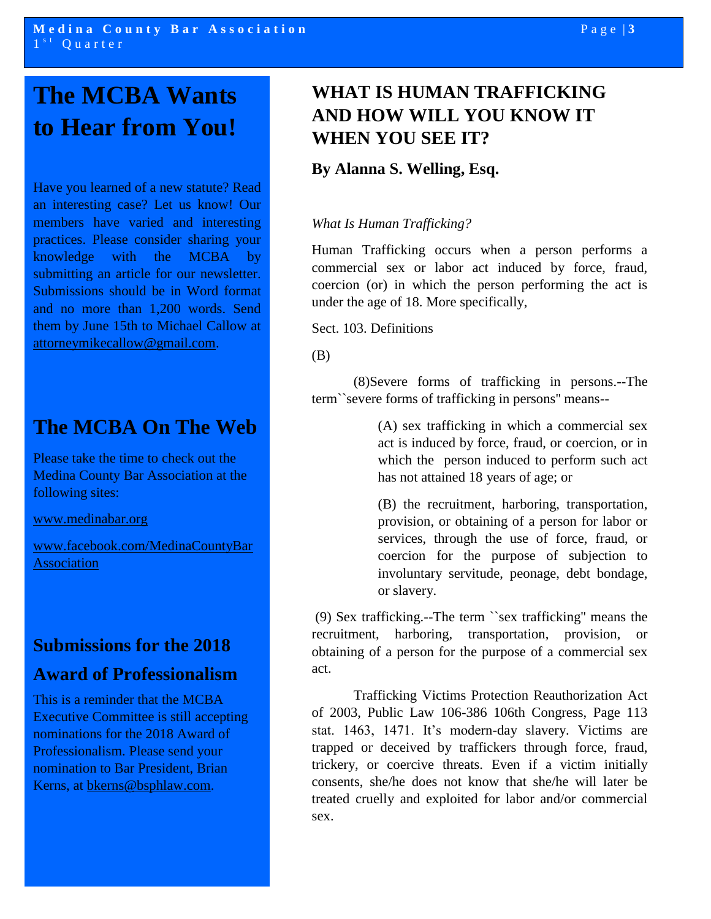# **The MCBA Wants to Hear from You!**

Have you learned of a new statute? Read an interesting case? Let us know! Our members have varied and interesting practices. Please consider sharing your knowledge with the MCBA by submitting an article for our newsletter. Submissions should be in Word format and no more than 1,200 words. Send them by June 15th to Michael Callow at [attorneymikecallow@gmail.com.](mailto:attorneymikecallow@gmail.com)

## **The MCBA On The Web**

Please take the time to check out the Medina County Bar Association at the following sites:

[www.medinabar.org](http://www.medinabar.org/)

[www.facebook.com/MedinaCountyBar](http://www.facebook.com/MedinaCountyBarAssociation) **[Association](http://www.facebook.com/MedinaCountyBarAssociation)** 

#### **Submissions for the 2018**

#### **Award of Professionalism**

This is a reminder that the MCBA Executive Committee is still accepting nominations for the 2018 Award of Professionalism. Please send your nomination to Bar President, Brian Kerns, at [bkerns@bsphlaw.com.](mailto:bkerns@bsphlaw.com)

## **WHAT IS HUMAN TRAFFICKING AND HOW WILL YOU KNOW IT WHEN YOU SEE IT?**

#### **By Alanna S. Welling, Esq.**

#### *What Is Human Trafficking?*

Human Trafficking occurs when a person performs a commercial sex or labor act induced by force, fraud, coercion (or) in which the person performing the act is under the age of 18. More specifically,

Sect. 103. Definitions

(B)

(8)Severe forms of trafficking in persons.--The term``severe forms of trafficking in persons'' means--

> (A) sex trafficking in which a commercial sex act is induced by force, fraud, or coercion, or in which the person induced to perform such act has not attained 18 years of age; or

> (B) the recruitment, harboring, transportation, provision, or obtaining of a person for labor or services, through the use of force, fraud, or coercion for the purpose of subjection to involuntary servitude, peonage, debt bondage, or slavery.

(9) Sex trafficking.--The term ``sex trafficking'' means the recruitment, harboring, transportation, provision, or obtaining of a person for the purpose of a commercial sex act.

Trafficking Victims Protection Reauthorization Act of 2003, Public Law 106-386 106th Congress, Page 113 stat. 1463, 1471. It's modern-day slavery. Victims are trapped or deceived by traffickers through force, fraud, trickery, or coercive threats. Even if a victim initially consents, she/he does not know that she/he will later be treated cruelly and exploited for labor and/or commercial sex.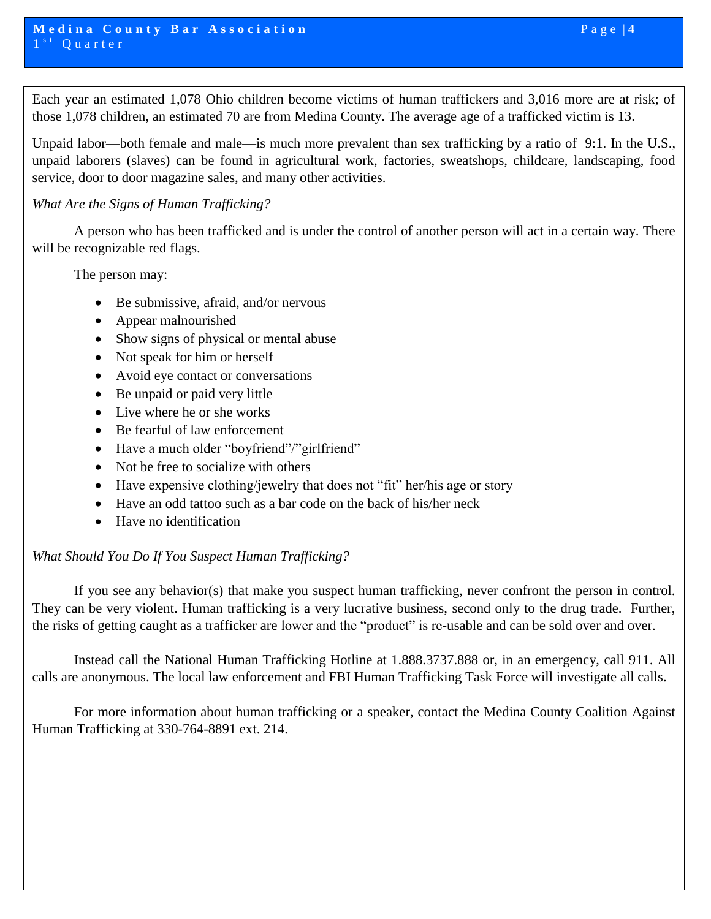Each year an estimated 1,078 Ohio children become victims of human traffickers and 3,016 more are at risk; of those 1,078 children, an estimated 70 are from Medina County. The average age of a trafficked victim is 13.

Unpaid labor—both female and male—is much more prevalent than sex trafficking by a ratio of 9:1. In the U.S., unpaid laborers (slaves) can be found in agricultural work, factories, sweatshops, childcare, landscaping, food service, door to door magazine sales, and many other activities.

#### *What Are the Signs of Human Trafficking?*

A person who has been trafficked and is under the control of another person will act in a certain way. There will be recognizable red flags.

The person may:

- Be submissive, afraid, and/or nervous
- Appear malnourished
- Show signs of physical or mental abuse
- Not speak for him or herself
- Avoid eye contact or conversations
- Be unpaid or paid very little
- Live where he or she works
- Be fearful of law enforcement
- Have a much older "boyfriend"/"girlfriend"
- Not be free to socialize with others
- Have expensive clothing/jewelry that does not "fit" her/his age or story
- Have an odd tattoo such as a bar code on the back of his/her neck
- Have no identification

#### *What Should You Do If You Suspect Human Trafficking?*

If you see any behavior(s) that make you suspect human trafficking, never confront the person in control. They can be very violent. Human trafficking is a very lucrative business, second only to the drug trade. Further, the risks of getting caught as a trafficker are lower and the "product" is re-usable and can be sold over and over.

Instead call the National Human Trafficking Hotline at 1.888.3737.888 or, in an emergency, call 911. All calls are anonymous. The local law enforcement and FBI Human Trafficking Task Force will investigate all calls.

For more information about human trafficking or a speaker, contact the Medina County Coalition Against Human Trafficking at 330-764-8891 ext. 214.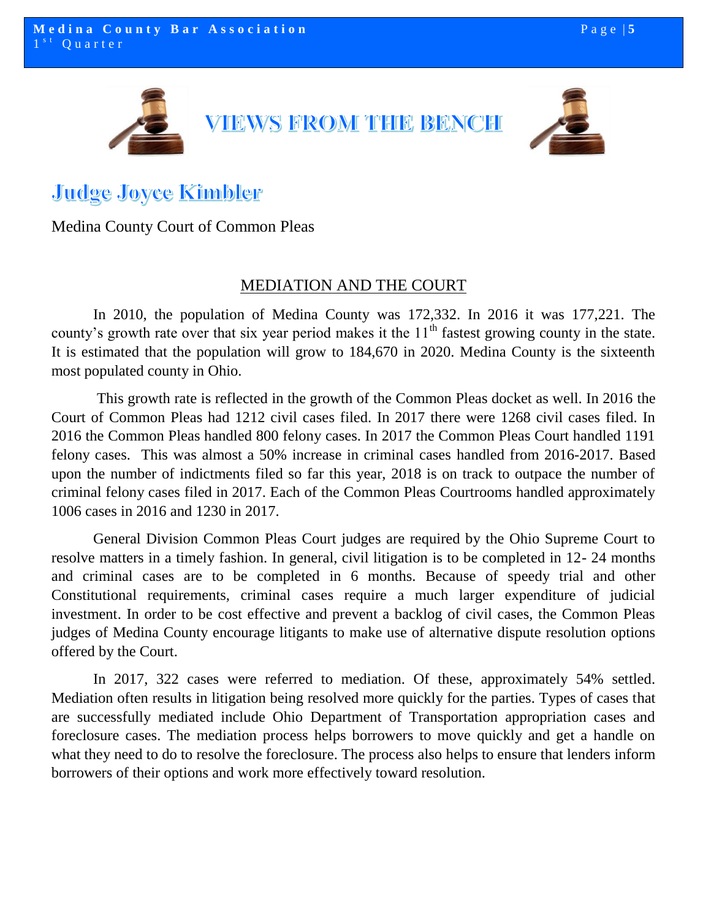

# **Judge Joyce Kimbler**

Medina County Court of Common Pleas

#### MEDIATION AND THE COURT

In 2010, the population of Medina County was 172,332. In 2016 it was 177,221. The county's growth rate over that six year period makes it the  $11<sup>th</sup>$  fastest growing county in the state. It is estimated that the population will grow to 184,670 in 2020. Medina County is the sixteenth most populated county in Ohio.

This growth rate is reflected in the growth of the Common Pleas docket as well. In 2016 the Court of Common Pleas had 1212 civil cases filed. In 2017 there were 1268 civil cases filed. In 2016 the Common Pleas handled 800 felony cases. In 2017 the Common Pleas Court handled 1191 felony cases. This was almost a 50% increase in criminal cases handled from 2016-2017. Based upon the number of indictments filed so far this year, 2018 is on track to outpace the number of criminal felony cases filed in 2017. Each of the Common Pleas Courtrooms handled approximately 1006 cases in 2016 and 1230 in 2017.

General Division Common Pleas Court judges are required by the Ohio Supreme Court to resolve matters in a timely fashion. In general, civil litigation is to be completed in 12- 24 months and criminal cases are to be completed in 6 months. Because of speedy trial and other Constitutional requirements, criminal cases require a much larger expenditure of judicial investment. In order to be cost effective and prevent a backlog of civil cases, the Common Pleas judges of Medina County encourage litigants to make use of alternative dispute resolution options offered by the Court.

In 2017, 322 cases were referred to mediation. Of these, approximately 54% settled. Mediation often results in litigation being resolved more quickly for the parties. Types of cases that are successfully mediated include Ohio Department of Transportation appropriation cases and foreclosure cases. The mediation process helps borrowers to move quickly and get a handle on what they need to do to resolve the foreclosure. The process also helps to ensure that lenders inform borrowers of their options and work more effectively toward resolution.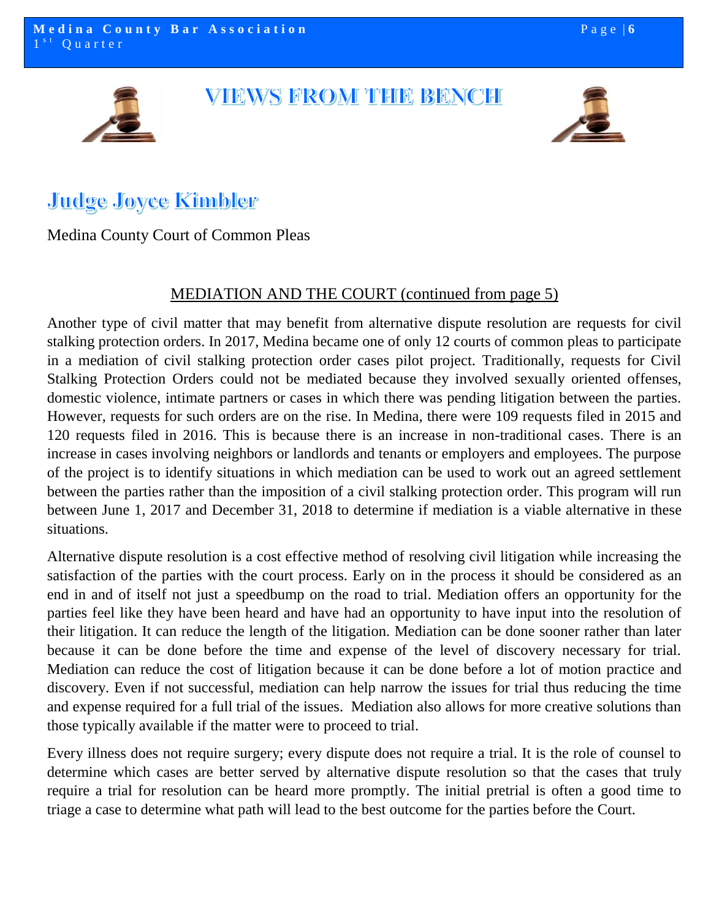## VIEWS FROM THE BENCH



# **Judge Joyce Kimbler**

#### Medina County Court of Common Pleas

#### MEDIATION AND THE COURT (continued from page 5)

Another type of civil matter that may benefit from alternative dispute resolution are requests for civil stalking protection orders. In 2017, Medina became one of only 12 courts of common pleas to participate in a mediation of civil stalking protection order cases pilot project. Traditionally, requests for Civil Stalking Protection Orders could not be mediated because they involved sexually oriented offenses, domestic violence, intimate partners or cases in which there was pending litigation between the parties. However, requests for such orders are on the rise. In Medina, there were 109 requests filed in 2015 and 120 requests filed in 2016. This is because there is an increase in non-traditional cases. There is an increase in cases involving neighbors or landlords and tenants or employers and employees. The purpose of the project is to identify situations in which mediation can be used to work out an agreed settlement between the parties rather than the imposition of a civil stalking protection order. This program will run between June 1, 2017 and December 31, 2018 to determine if mediation is a viable alternative in these situations.

Alternative dispute resolution is a cost effective method of resolving civil litigation while increasing the satisfaction of the parties with the court process. Early on in the process it should be considered as an end in and of itself not just a speedbump on the road to trial. Mediation offers an opportunity for the parties feel like they have been heard and have had an opportunity to have input into the resolution of their litigation. It can reduce the length of the litigation. Mediation can be done sooner rather than later because it can be done before the time and expense of the level of discovery necessary for trial. Mediation can reduce the cost of litigation because it can be done before a lot of motion practice and discovery. Even if not successful, mediation can help narrow the issues for trial thus reducing the time and expense required for a full trial of the issues. Mediation also allows for more creative solutions than those typically available if the matter were to proceed to trial.

Every illness does not require surgery; every dispute does not require a trial. It is the role of counsel to determine which cases are better served by alternative dispute resolution so that the cases that truly require a trial for resolution can be heard more promptly. The initial pretrial is often a good time to triage a case to determine what path will lead to the best outcome for the parties before the Court.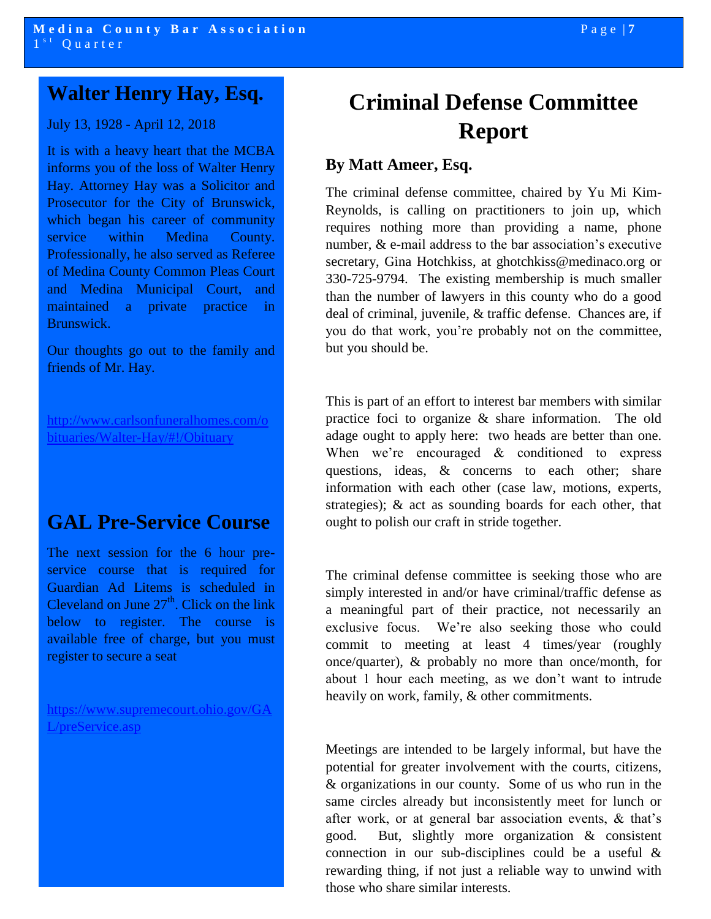## **Walter Henry Hay, Esq.**

#### July 13, 1928 - April 12, 2018

It is with a heavy heart that the MCBA informs you of the loss of Walter Henry Hay. Attorney Hay was a Solicitor and Prosecutor for the City of Brunswick, which began his career of community service within Medina County. Professionally, he also served as Referee of Medina County Common Pleas Court and Medina Municipal Court, and maintained a private practice in Brunswick.

Our thoughts go out to the family and friends of Mr. Hay.

[http://www.carlsonfuneralhomes.com/o](http://www.carlsonfuneralhomes.com/obituaries/Walter-Hay/#!/Obituary) [bituaries/Walter-Hay/#!/Obituary](http://www.carlsonfuneralhomes.com/obituaries/Walter-Hay/#!/Obituary)

### **GAL Pre-Service Course**

The next session for the 6 hour preservice course that is required for Guardian Ad Litems is scheduled in Cleveland on June  $27<sup>th</sup>$ . Click on the link below to register. The course is available free of charge, but you must register to secure a seat

[https://www.supremecourt.ohio.gov/GA](https://www.supremecourt.ohio.gov/GAL/preService.asp) [L/preService.asp](https://www.supremecourt.ohio.gov/GAL/preService.asp)

# **Criminal Defense Committee Report**

#### **By Matt Ameer, Esq.**

The criminal defense committee, chaired by Yu Mi Kim-Reynolds, is calling on practitioners to join up, which requires nothing more than providing a name, phone number, & e-mail address to the bar association's executive secretary, Gina Hotchkiss, at ghotchkiss@medinaco.org or 330-725-9794. The existing membership is much smaller than the number of lawyers in this county who do a good deal of criminal, juvenile, & traffic defense. Chances are, if you do that work, you're probably not on the committee, but you should be.

This is part of an effort to interest bar members with similar practice foci to organize & share information. The old adage ought to apply here: two heads are better than one. When we're encouraged & conditioned to express questions, ideas, & concerns to each other; share information with each other (case law, motions, experts, strategies); & act as sounding boards for each other, that ought to polish our craft in stride together.

The criminal defense committee is seeking those who are simply interested in and/or have criminal/traffic defense as a meaningful part of their practice, not necessarily an exclusive focus. We're also seeking those who could commit to meeting at least 4 times/year (roughly once/quarter), & probably no more than once/month, for about 1 hour each meeting, as we don't want to intrude heavily on work, family, & other commitments.

Meetings are intended to be largely informal, but have the potential for greater involvement with the courts, citizens, & organizations in our county. Some of us who run in the same circles already but inconsistently meet for lunch or after work, or at general bar association events, & that's good. But, slightly more organization & consistent connection in our sub-disciplines could be a useful & rewarding thing, if not just a reliable way to unwind with those who share similar interests.